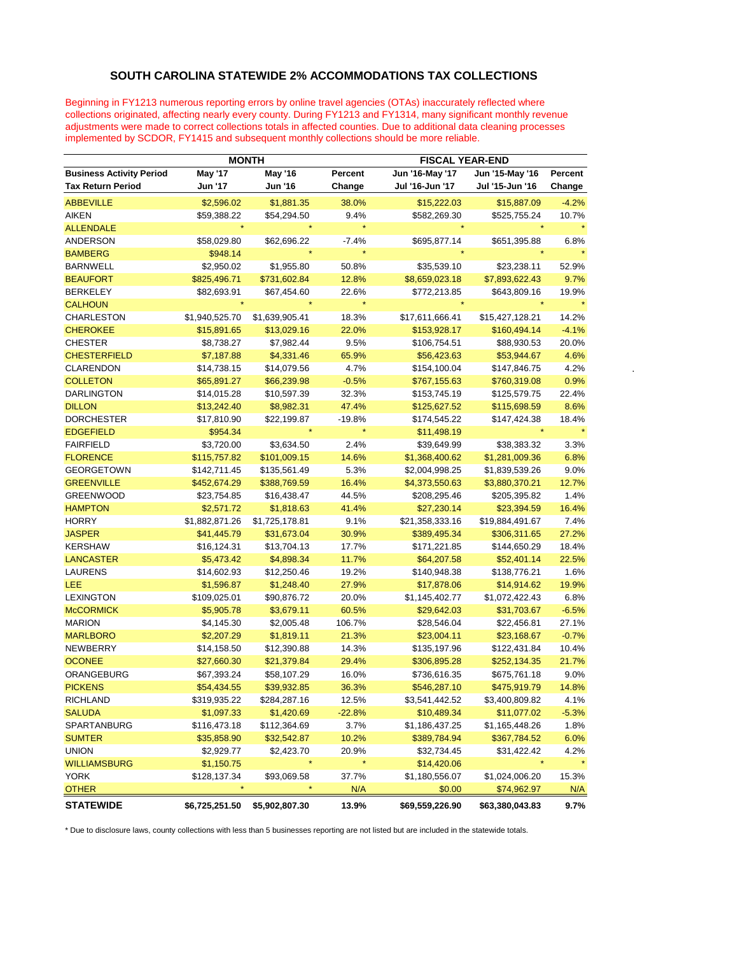## **SOUTH CAROLINA STATEWIDE 2% ACCOMMODATIONS TAX COLLECTIONS**

Beginning in FY1213 numerous reporting errors by online travel agencies (OTAs) inaccurately reflected where collections originated, affecting nearly every county. During FY1213 and FY1314, many significant monthly revenue adjustments were made to correct collections totals in affected counties. Due to additional data cleaning processes implemented by SCDOR, FY1415 and subsequent monthly collections should be more reliable.

|                          |                                 | <b>MONTH</b>   |                | <b>FISCAL YEAR-END</b> |                 |                 |         |
|--------------------------|---------------------------------|----------------|----------------|------------------------|-----------------|-----------------|---------|
|                          | <b>Business Activity Period</b> | <b>May '17</b> | <b>May '16</b> | Percent                | Jun '16-May '17 | Jun '15-May '16 | Percent |
| <b>Tax Return Period</b> |                                 | Jun '17        | <b>Jun '16</b> | Change                 | Jul '16-Jun '17 | Jul '15-Jun '16 | Change  |
| <b>ABBEVILLE</b>         |                                 | \$2,596.02     | \$1,881.35     | 38.0%                  | \$15,222.03     | \$15,887.09     | $-4.2%$ |
| <b>AIKEN</b>             |                                 | \$59,388.22    | \$54,294.50    | 9.4%                   | \$582,269.30    | \$525,755.24    | 10.7%   |
| <b>ALLENDALE</b>         |                                 |                |                |                        |                 |                 |         |
| ANDERSON                 |                                 | \$58,029.80    | \$62,696.22    | $-7.4%$                | \$695,877.14    | \$651,395.88    | 6.8%    |
| <b>BAMBERG</b>           |                                 | \$948.14       |                |                        |                 |                 |         |
| <b>BARNWELL</b>          |                                 | \$2,950.02     | \$1,955.80     | 50.8%                  | \$35,539.10     | \$23,238.11     | 52.9%   |
| <b>BEAUFORT</b>          |                                 | \$825,496.71   | \$731,602.84   | 12.8%                  | \$8,659,023.18  | \$7,893,622.43  | 9.7%    |
| BERKELEY                 |                                 | \$82,693.91    | \$67,454.60    | 22.6%                  | \$772,213.85    | \$643,809.16    | 19.9%   |
| <b>CALHOUN</b>           |                                 |                |                | $\star$                |                 |                 |         |
| <b>CHARLESTON</b>        |                                 | \$1,940,525.70 | \$1,639,905.41 | 18.3%                  | \$17,611,666.41 | \$15,427,128.21 | 14.2%   |
| <b>CHEROKEE</b>          |                                 | \$15,891.65    | \$13,029.16    | 22.0%                  | \$153,928.17    | \$160,494.14    | $-4.1%$ |
| <b>CHESTER</b>           |                                 | \$8,738.27     | \$7,982.44     | 9.5%                   | \$106,754.51    | \$88,930.53     | 20.0%   |
| <b>CHESTERFIELD</b>      |                                 | \$7,187.88     | \$4,331.46     | 65.9%                  | \$56,423.63     | \$53,944.67     | 4.6%    |
| <b>CLARENDON</b>         |                                 | \$14,738.15    | \$14,079.56    | 4.7%                   | \$154,100.04    | \$147,846.75    | 4.2%    |
| <b>COLLETON</b>          |                                 | \$65,891.27    | \$66,239.98    | $-0.5%$                | \$767,155.63    | \$760,319.08    | 0.9%    |
| <b>DARLINGTON</b>        |                                 | \$14,015.28    | \$10,597.39    | 32.3%                  | \$153,745.19    | \$125,579.75    | 22.4%   |
| <b>DILLON</b>            |                                 | \$13,242.40    | \$8,982.31     | 47.4%                  | \$125,627.52    | \$115,698.59    | 8.6%    |
| DORCHESTER               |                                 | \$17,810.90    | \$22,199.87    | $-19.8%$               | \$174,545.22    | \$147,424.38    | 18.4%   |
| <b>EDGEFIELD</b>         |                                 | \$954.34       |                |                        | \$11,498.19     |                 |         |
| <b>FAIRFIELD</b>         |                                 | \$3,720.00     | \$3,634.50     | 2.4%                   | \$39,649.99     | \$38,383.32     | 3.3%    |
| <b>FLORENCE</b>          |                                 | \$115,757.82   | \$101,009.15   | 14.6%                  | \$1,368,400.62  | \$1,281,009.36  | 6.8%    |
| <b>GEORGETOWN</b>        |                                 | \$142,711.45   | \$135,561.49   | 5.3%                   | \$2,004,998.25  | \$1,839,539.26  | 9.0%    |
| <b>GREENVILLE</b>        |                                 | \$452,674.29   | \$388,769.59   | 16.4%                  | \$4,373,550.63  | \$3,880,370.21  | 12.7%   |
| <b>GREENWOOD</b>         |                                 | \$23,754.85    | \$16,438.47    | 44.5%                  | \$208,295.46    | \$205,395.82    | 1.4%    |
| <b>HAMPTON</b>           |                                 | \$2,571.72     | \$1,818.63     | 41.4%                  | \$27,230.14     | \$23,394.59     | 16.4%   |
| <b>HORRY</b>             |                                 | \$1,882,871.26 | \$1,725,178.81 | 9.1%                   | \$21,358,333.16 | \$19,884,491.67 | 7.4%    |
| <b>JASPER</b>            |                                 | \$41,445.79    | \$31,673.04    | 30.9%                  | \$389,495.34    | \$306,311.65    | 27.2%   |
| <b>KERSHAW</b>           |                                 | \$16,124.31    | \$13,704.13    | 17.7%                  | \$171,221.85    | \$144,650.29    | 18.4%   |
| <b>LANCASTER</b>         |                                 | \$5,473.42     | \$4,898.34     | 11.7%                  | \$64,207.58     | \$52,401.14     | 22.5%   |
| LAURENS                  |                                 | \$14,602.93    | \$12,250.46    | 19.2%                  | \$140,948.38    | \$138,776.21    | 1.6%    |
| <b>LEE</b>               |                                 | \$1,596.87     | \$1,248.40     | 27.9%                  | \$17,878.06     | \$14,914.62     | 19.9%   |
| <b>LEXINGTON</b>         |                                 | \$109,025.01   | \$90,876.72    | 20.0%                  | \$1,145,402.77  | \$1,072,422.43  | 6.8%    |
| <b>McCORMICK</b>         |                                 | \$5,905.78     | \$3,679.11     | 60.5%                  | \$29,642.03     | \$31,703.67     | $-6.5%$ |
| <b>MARION</b>            |                                 | \$4,145.30     | \$2,005.48     | 106.7%                 | \$28,546.04     | \$22,456.81     | 27.1%   |
| <b>MARLBORO</b>          |                                 | \$2,207.29     | \$1,819.11     | 21.3%                  | \$23,004.11     | \$23,168.67     | $-0.7%$ |
| NEWBERRY                 |                                 | \$14,158.50    | \$12,390.88    | 14.3%                  | \$135,197.96    | \$122,431.84    | 10.4%   |
| <b>OCONEE</b>            |                                 | \$27,660.30    | \$21,379.84    | 29.4%                  | \$306,895.28    | \$252,134.35    | 21.7%   |
| ORANGEBURG               |                                 | \$67,393.24    | \$58,107.29    | 16.0%                  | \$736,616.35    | \$675,761.18    | 9.0%    |
| <b>PICKENS</b>           |                                 | \$54,434.55    | \$39,932.85    | 36.3%                  | \$546,287.10    | \$475,919.79    | 14.8%   |
| <b>RICHLAND</b>          |                                 | \$319,935.22   | \$284,287.16   | 12.5%                  | \$3,541,442.52  | \$3,400,809.82  | 4.1%    |
| <b>SALUDA</b>            |                                 | \$1,097.33     | \$1,420.69     | $-22.8%$               | \$10,489.34     | \$11,077.02     | $-5.3%$ |
| SPARTANBURG              |                                 | \$116,473.18   | \$112,364.69   | 3.7%                   | \$1,186,437.25  | \$1,165,448.26  | 1.8%    |
| <b>SUMTER</b>            |                                 | \$35,858.90    | \$32,542.87    | 10.2%                  | \$389,784.94    | \$367,784.52    | 6.0%    |
| <b>UNION</b>             |                                 | \$2,929.77     | \$2,423.70     | 20.9%                  | \$32,734.45     | \$31,422.42     | 4.2%    |
| <b>WILLIAMSBURG</b>      |                                 | \$1,150.75     | $\star$        | $\star$                | \$14,420.06     |                 |         |
| <b>YORK</b>              |                                 | \$128,137.34   | \$93,069.58    | 37.7%                  | \$1,180,556.07  | \$1,024,006.20  | 15.3%   |
| <b>OTHER</b>             |                                 | $\star$        |                | N/A                    | \$0.00          | \$74,962.97     |         |
|                          |                                 |                |                |                        |                 |                 | N/A     |

\* Due to disclosure laws, county collections with less than 5 businesses reporting are not listed but are included in the statewide totals.